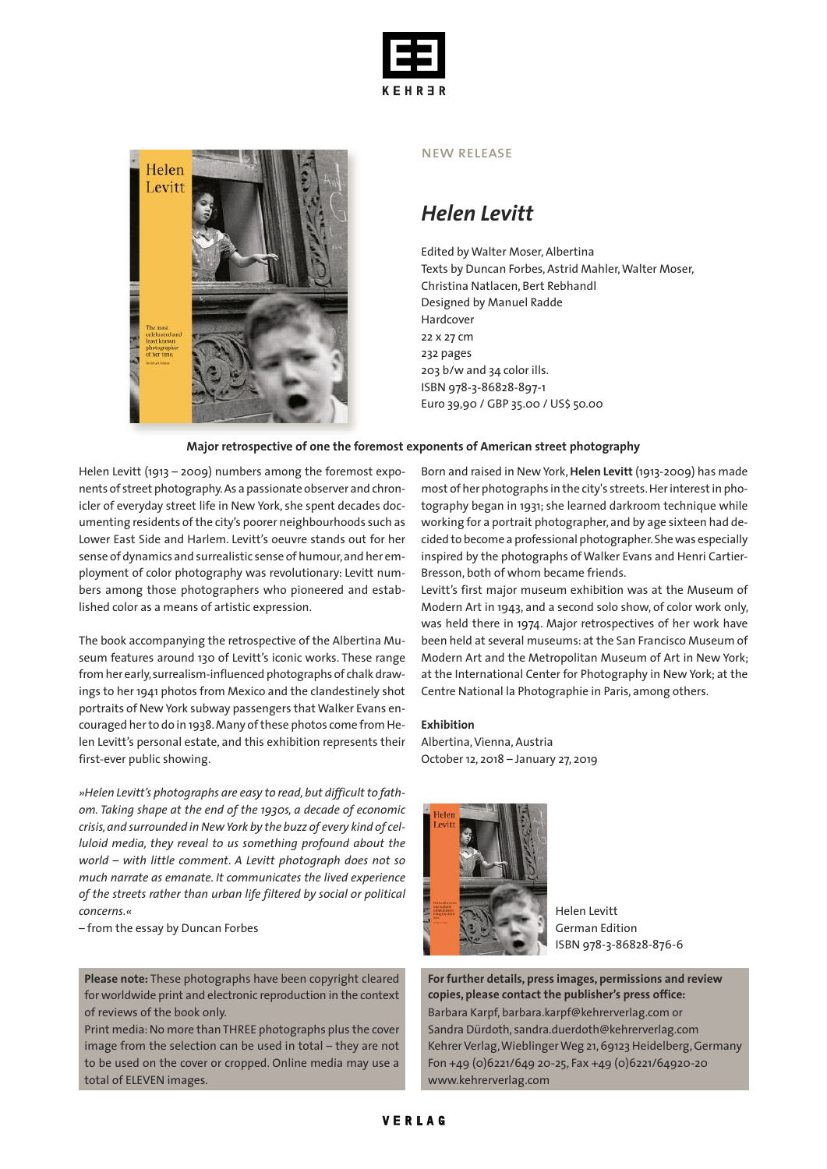



### new release

## *Helen Levitt*

Edited by Walter Moser, Albertina Texts by Duncan Forbes, Astrid Mahler, Walter Moser, Christina Natlacen, Bert Rebhandl Designed by Manuel Radde Hardcover 22 x 27 cm 232 pages 203 b/w and 34 color ills. ISBN 978-3-86828-897-1 Euro 39,90 / GBP 35.00 / US\$ 50.00

## **Major retrospective of one the foremost exponents of American street photography**

Helen Levitt (1913 – 2009) numbers among the foremost exponents of street photography.As a passionate observer and chronicler of everyday street life in New York, she spent decades documenting residents of the city's poorer neighbourhoods such as Lower East Side and Harlem. Levitt's oeuvre stands out for her sense of dynamics and surrealistic sense of humour,and her employment of color photography was revolutionary: Levitt numbers among those photographers who pioneered and established color as a means of artistic expression.

The book accompanying the retrospective of the Albertina Museum features around 130 of Levitt's iconic works. These range fromher early,surrealism-influenced photographs of chalk drawings to her 1941 photos from Mexico and the clandestinely shot portraits of New York subway passengers that Walker Evans encouraged her to do in 1938. Many of these photos come from Helen Levitt's personal estate, and this exhibition represents their first-ever public showing.

*»Helen Levitt's photographs are easy to read,but difficult to fathom. Taking shape at the end of the 1930s, a decade of economic crisis,and surrounded inNewYork by the buzz of every kind of celluloid media, they reveal to us something profound about the world – with little comment. A Levitt photograph does not so much narrate as emanate. It communicates the lived experience of the streets rather than urban life filtered by social or political concerns.«*

– from the essay by Duncan Forbes

**Please note:** These photographs have been copyright cleared for worldwide print and electronic reproduction in the context of reviews of the book only.

Print media:No more than THREE photographs plus the cover image from the selection can be used in total – they are not to be used on the cover or cropped. Online media may use a total of ELEVEN images.

Born and raised in New York,**Helen Levitt** (1913-2009) has made most of her photographs in the city's streets.Herinterestin photography began in 1931; she learned darkroom technique while working for a portrait photographer, and by age sixteen had decided to become a professional photographer.Shewas especially inspired by the photographs of Walker Evans and Henri Cartier-Bresson, both of whom became friends.

Levitt's first major museum exhibition was at the Museum of Modern Art in 1943, and a second solo show, of color work only, was held there in 1974. Major retrospectives of her work have been held at several museums: at the San Francisco Museum of Modern Art and the Metropolitan Museum of Art in New York; at the International Center for Photography in New York; at the Centre National la Photographie in Paris, among others.

### **Exhibition**

Albertina, Vienna, Austria October 12, 2018 – January 27, 2019



Helen Levitt German Edition ISBN 978-3-86828-876-6

**For further details, press images, permissions and review copies, please contact the publisher's press office:** Barbara Karpf, barbara.karpf@kehrerverlag.com or Sandra Dürdoth, sandra.duerdoth@kehrerverlag.com Kehrer Verlag, Wieblinger Weg 21, 69123 Heidelberg, Germany Fon +49 (0)6221/649 20-25, Fax +49 (0)6221/64920-20 www.kehrerverlag.com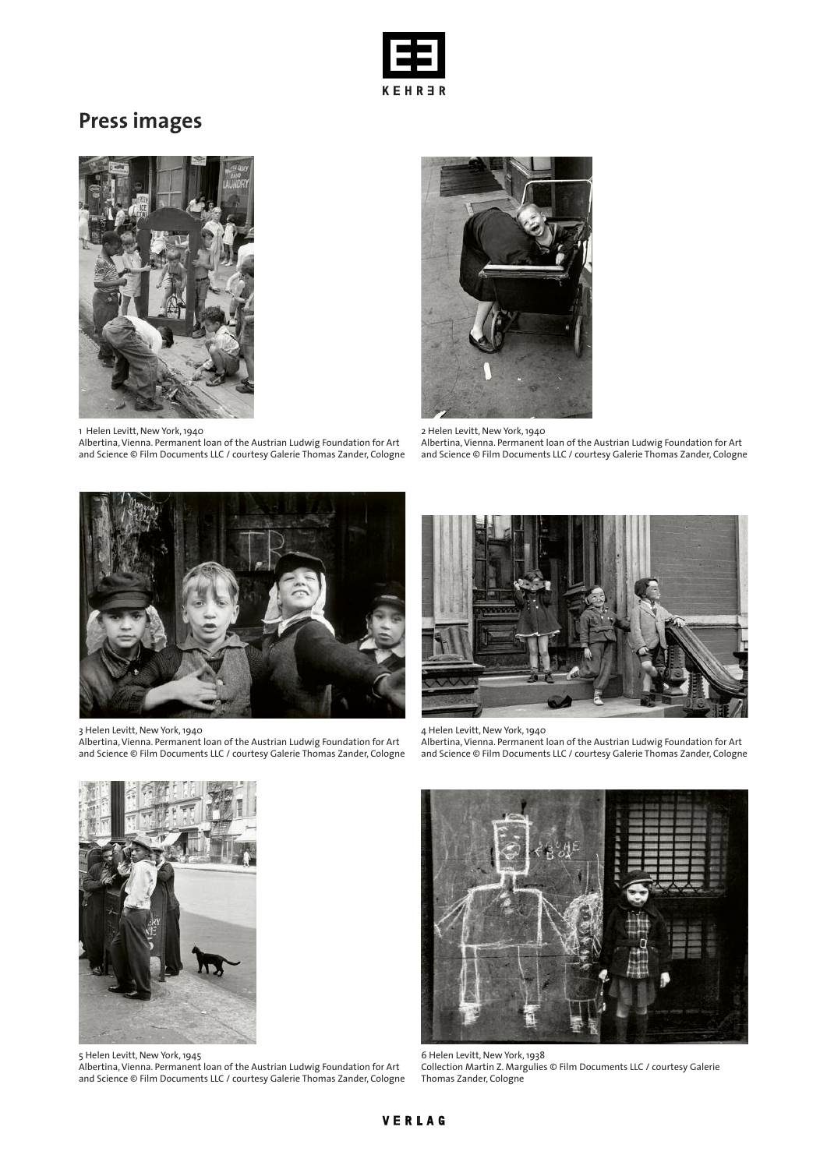

# **Press images**



1 Helen Levitt, New York,1940

Albertina,Vienna. Permanent loan of the Austrian Ludwig Foundation for Art and Science © Film Documents LLC / courtesy Galerie Thomas Zander, Cologne



2 Helen Levitt, New York,1940 Albertina,Vienna. Permanent loan of the Austrian Ludwig Foundation for Art and Science © Film Documents LLC / courtesy Galerie Thomas Zander, Cologne



3 Helen Levitt, New York,1940

Albertina,Vienna. Permanent loan of the Austrian Ludwig Foundation for Art and Science © Film Documents LLC / courtesy Galerie Thomas Zander, Cologne



4 Helen Levitt, New York,1940 Albertina,Vienna. Permanent loan of the Austrian Ludwig Foundation for Art and Science © Film Documents LLC / courtesy Galerie Thomas Zander, Cologne



5 Helen Levitt, New York,1945

Albertina,Vienna. Permanent loan of the Austrian Ludwig Foundation for Art and Science © Film Documents LLC / courtesy Galerie Thomas Zander, Cologne



6 Helen Levitt, New York,1938 Collection Martin Z. Margulies © Film Documents LLC / courtesy Galerie Thomas Zander, Cologne